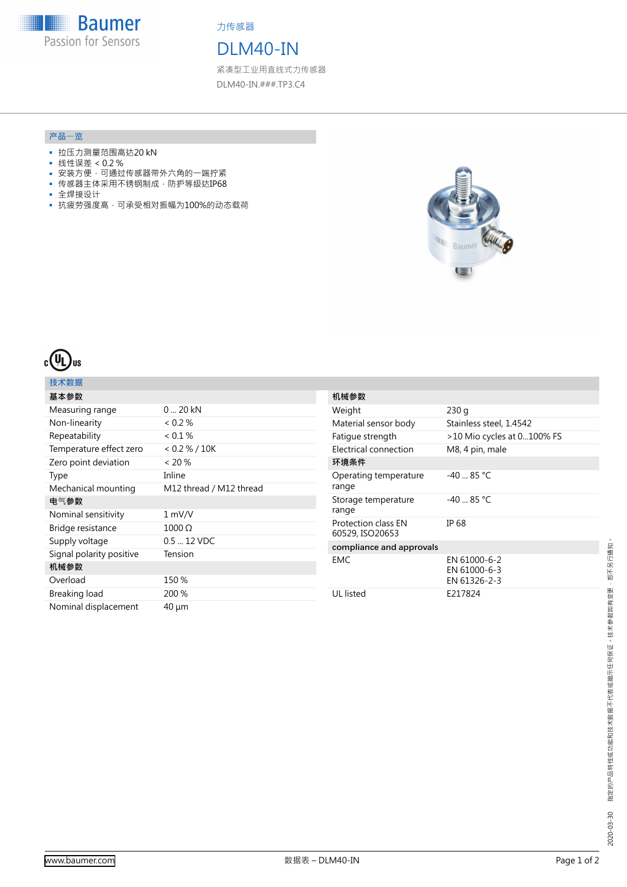**Baumer** Passion for Sensors

力传感器

## DLM40-IN

紧凑型工业用直线式力传感器 DLM40-IN.###.TP3.C4

#### **产品**一**览**

- 拉压力测量范围高达20 kN
- 线性误差 < 0.2 %
- 安装方便,可通过传感器带外六角的一端拧紧
- 传感器主体采用不锈钢制成,防护等级达IP68
- 全焊接设计
- 抗疲劳强度高,可承受相对振幅为100%的动态载荷





### **技术数据**

| 基本参数                     |                         |
|--------------------------|-------------------------|
| Measuring range          | $0 \dots 20$ kN         |
| Non-linearity            | $< 0.2 \%$              |
| Repeatability            | < 0.1 %                 |
| Temperature effect zero  | < 0.2 % / 10K           |
| Zero point deviation     | $< 20 \%$               |
| Type                     | Inline                  |
| Mechanical mounting      | M12 thread / M12 thread |
| 电气参数                     |                         |
| Nominal sensitivity      | 1 mV/V                  |
| Bridge resistance        | $1000 \Omega$           |
| Supply voltage           | $0.5 - 12$ VDC          |
| Signal polarity positive | Tension                 |
| 机械参数                     |                         |
| Overload                 | 150 %                   |
| Breaking load            | 200 %                   |
| Nominal displacement     | $40 \mu m$              |

| 机械参数                                   |                                              |
|----------------------------------------|----------------------------------------------|
| Weight                                 | 230q                                         |
| Material sensor body                   | Stainless steel, 1.4542                      |
| Fatique strength                       | >10 Mio cycles at 0100% FS                   |
| Electrical connection                  | M8, 4 pin, male                              |
| 环境条件                                   |                                              |
| Operating temperature<br>range         | $-40 - 85 °C$                                |
| Storage temperature<br>range           | $-40 - 85 °C$                                |
| Protection class FN<br>60529, ISO20653 | IP 68                                        |
| compliance and approvals               |                                              |
| <b>FMC</b>                             | EN 61000-6-2<br>EN 61000-6-3<br>EN 61326-2-3 |
| <b>UL</b> listed                       | E217824                                      |